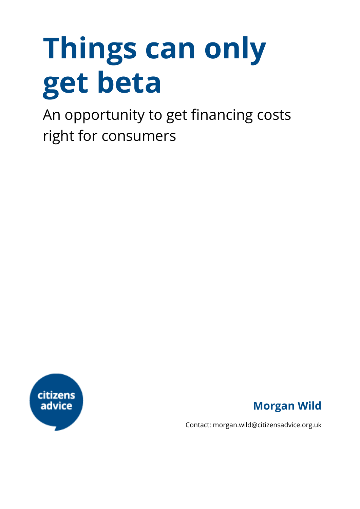# **Things can only get beta**

An opportunity to get financing costs right for consumers





Contact: morgan.wild@citizensadvice.org.uk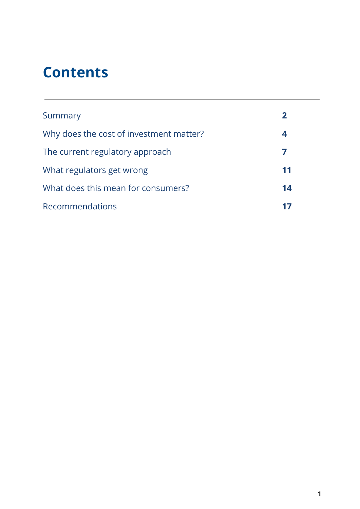### **Contents**

| Summary                                 |    |
|-----------------------------------------|----|
| Why does the cost of investment matter? | 4  |
| The current regulatory approach         |    |
| What regulators get wrong               | 11 |
| What does this mean for consumers?      | 14 |
| Recommendations                         |    |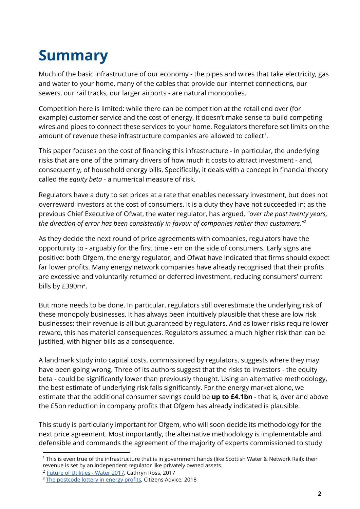# **Summary**

Much of the basic infrastructure of our economy - the pipes and wires that take electricity, gas and water to your home, many of the cables that provide our internet connections, our sewers, our rail tracks, our larger airports - are natural monopolies.

Competition here is limited: while there can be competition at the retail end over (for example) customer service and the cost of energy, it doesn't make sense to build competing wires and pipes to connect these services to your home. Regulators therefore set limits on the amount of revenue these infrastructure companies are allowed to collect $^1$ .

This paper focuses on the cost of financing this infrastructure - in particular, the underlying risks that are one of the primary drivers of how much it costs to attract investment - and, consequently, of household energy bills. Specifically, it deals with a concept in financial theory called *the equity beta* - a numerical measure of risk.

Regulators have a duty to set prices at a rate that enables necessary investment, but does not overreward investors at the cost of consumers. It is a duty they have not succeeded in: as the previous Chief Executive of Ofwat, the water regulator, has argued, *"over the past twenty years, the direction of error has been consistently in favour of companies rather than customers."* 2

As they decide the next round of price agreements with companies, regulators have the opportunity to - arguably for the first time - err on the side of consumers. Early signs are positive: both Ofgem, the energy regulator, and Ofwat have indicated that firms should expect far lower profits. Many energy network companies have already recognised that their profits are excessive and voluntarily returned or deferred investment, reducing consumers' current bills by  $E390m^3$ .

But more needs to be done. In particular, regulators still overestimate the underlying risk of these monopoly businesses. It has always been intuitively plausible that these are low risk businesses: their revenue is all but guaranteed by regulators. And as lower risks require lower reward, this has material consequences. Regulators assumed a much higher risk than can be justified, with higher bills as a consequence.

A landmark study into capital costs, commissioned by regulators, suggests where they may have been going wrong. Three of its authors suggest that the risks to investors - the equity beta - could be significantly lower than previously thought. Using an alternative methodology, the best estimate of underlying risk falls significantly. For the energy market alone, we estimate that the additional consumer savings could be **up to £4.1bn** - that is, over and above the £5bn reduction in company profits that Ofgem has already indicated is plausible.

This study is particularly important for Ofgem, who will soon decide its methodology for the next price agreement. Most importantly, the alternative methodology is implementable and defensible and commands the agreement of the majority of experts commissioned to study

<sup>1</sup> This is even true of the infrastructure that is in government hands (like Scottish Water & Network Rail): their revenue is set by an independent regulator like privately owned assets.

<sup>&</sup>lt;sup>2</sup> [Future of Utilities - Water 2017,](https://www.ofwat.gov.uk/wp-content/uploads/2017/11/Cathryn-Ross-speaking-notes-Future-of-Utilities-Water-2017-21-November-2017-FINAL.pdf) Cathryn Ross, 2017

<sup>&</sup>lt;sup>3</sup> [The postcode lottery in energy profits](https://www.citizensadvice.org.uk/Global/CitizensAdvice/Energy/Regional%20analysis%20-%20networks), Citizens Advice, 2018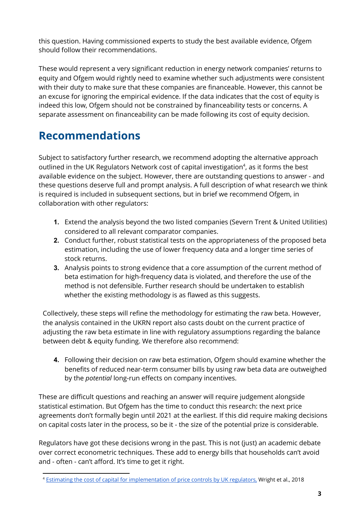this question. Having commissioned experts to study the best available evidence, Ofgem should follow their recommendations.

These would represent a very significant reduction in energy network companies' returns to equity and Ofgem would rightly need to examine whether such adjustments were consistent with their duty to make sure that these companies are financeable. However, this cannot be an excuse for ignoring the empirical evidence. If the data indicates that the cost of equity is indeed this low, Ofgem should not be constrained by financeability tests or concerns. A separate assessment on financeability can be made following its cost of equity decision.

### **Recommendations**

Subject to satisfactory further research, we recommend adopting the alternative approach outlined in the UK Regulators Network cost of capital investigation<sup>4</sup>, as it forms the best available evidence on the subject. However, there are outstanding questions to answer - and these questions deserve full and prompt analysis. A full description of what research we think is required is included in subsequent sections, but in brief we recommend Ofgem, in collaboration with other regulators:

- **1.** Extend the analysis beyond the two listed companies (Severn Trent & United Utilities) considered to all relevant comparator companies.
- **2.** Conduct further, robust statistical tests on the appropriateness of the proposed beta estimation, including the use of lower frequency data and a longer time series of stock returns.
- **3.** Analysis points to strong evidence that a core assumption of the current method of beta estimation for high-frequency data is violated, and therefore the use of the method is not defensible. Further research should be undertaken to establish whether the existing methodology is as flawed as this suggests.

Collectively, these steps will refine the methodology for estimating the raw beta. However, the analysis contained in the UKRN report also casts doubt on the current practice of adjusting the raw beta estimate in line with regulatory assumptions regarding the balance between debt & equity funding. We therefore also recommend:

**4.** Following their decision on raw beta estimation, Ofgem should examine whether the benefits of reduced near-term consumer bills by using raw beta data are outweighed by the *potential* long-run effects on company incentives.

These are difficult questions and reaching an answer will require judgement alongside statistical estimation. But Ofgem has the time to conduct this research: the next price agreements don't formally begin until 2021 at the earliest. If this did require making decisions on capital costs later in the process, so be it - the size of the potential prize is considerable.

Regulators have got these decisions wrong in the past. This is not (just) an academic debate over correct econometric techniques. These add to energy bills that households can't avoid and - often - can't afford. It's time to get it right.

<sup>&</sup>lt;sup>4</sup> [Estimating the cost of capital for implementation of price controls by UK regulators,](http://www.ukrn.org.uk/news/estimating-the-cost-of-capital-for-implementation-of-price-controls-by-uk-regulators/) Wright et al., 2018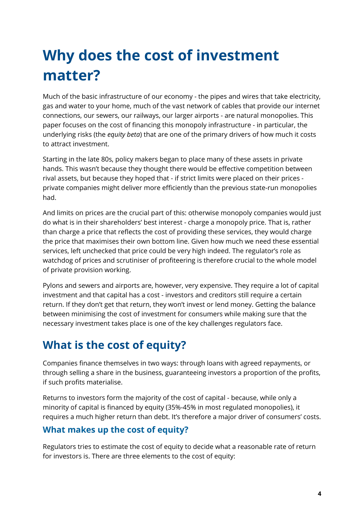# **Why does the cost of investment matter?**

Much of the basic infrastructure of our economy - the pipes and wires that take electricity, gas and water to your home, much of the vast network of cables that provide our internet connections, our sewers, our railways, our larger airports - are natural monopolies. This paper focuses on the cost of financing this monopoly infrastructure - in particular, the underlying risks (the *equity beta*) that are one of the primary drivers of how much it costs to attract investment.

Starting in the late 80s, policy makers began to place many of these assets in private hands. This wasn't because they thought there would be effective competition between rival assets, but because they hoped that - if strict limits were placed on their prices private companies might deliver more efficiently than the previous state-run monopolies had.

And limits on prices are the crucial part of this: otherwise monopoly companies would just do what is in their shareholders' best interest - charge a monopoly price. That is, rather than charge a price that reflects the cost of providing these services, they would charge the price that maximises their own bottom line. Given how much we need these essential services, left unchecked that price could be very high indeed. The regulator's role as watchdog of prices and scrutiniser of profiteering is therefore crucial to the whole model of private provision working.

Pylons and sewers and airports are, however, very expensive. They require a lot of capital investment and that capital has a cost - investors and creditors still require a certain return. If they don't get that return, they won't invest or lend money. Getting the balance between minimising the cost of investment for consumers while making sure that the necessary investment takes place is one of the key challenges regulators face.

### **What is the cost of equity?**

Companies finance themselves in two ways: through loans with agreed repayments, or through selling a share in the business, guaranteeing investors a proportion of the profits, if such profits materialise.

Returns to investors form the majority of the cost of capital - because, while only a minority of capital is financed by equity (35%-45% in most regulated monopolies), it requires a much higher return than debt. It's therefore a major driver of consumers' costs.

#### **What makes up the cost of equity?**

Regulators tries to estimate the cost of equity to decide what a reasonable rate of return for investors is. There are three elements to the cost of equity: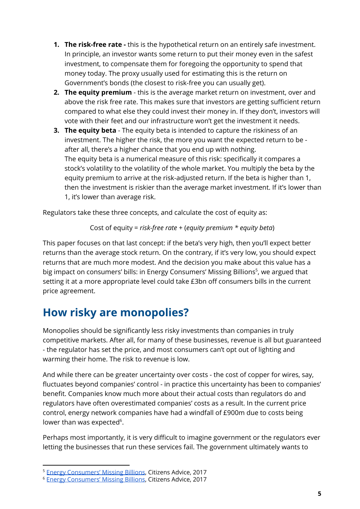- **1. The risk-free rate -** this is the hypothetical return on an entirely safe investment. In principle, an investor wants some return to put their money even in the safest investment, to compensate them for foregoing the opportunity to spend that money today. The proxy usually used for estimating this is the return on Government's bonds (the closest to risk-free you can usually get).
- **2. The equity premium** this is the average market return on investment, over and above the risk free rate. This makes sure that investors are getting sufficient return compared to what else they could invest their money in. If they don't, investors will vote with their feet and our infrastructure won't get the investment it needs.
- **3. The equity beta** The equity beta is intended to capture the riskiness of an investment. The higher the risk, the more you want the expected return to be after all, there's a higher chance that you end up with nothing. The equity beta is a numerical measure of this risk: specifically it compares a stock's volatility to the volatility of the whole market. You multiply the beta by the equity premium to arrive at the risk-adjusted return. If the beta is higher than 1, then the investment is riskier than the average market investment. If it's lower than 1, it's lower than average risk.

Regulators take these three concepts, and calculate the cost of equity as:

Cost of equity = *risk-free rate* + (*equity premium \* equity beta*)

This paper focuses on that last concept: if the beta's very high, then you'll expect better returns than the average stock return. On the contrary, if it's very low, you should expect returns that are much more modest. And the decision you make about this value has a big impact on consumers' bills: in Energy Consumers' Missing Billions<sup>5</sup>, we argued that setting it at a more appropriate level could take £3bn off consumers bills in the current price agreement.

### **How risky are monopolies?**

Monopolies should be significantly less risky investments than companies in truly competitive markets. After all, for many of these businesses, revenue is all but guaranteed - the regulator has set the price, and most consumers can't opt out of lighting and warming their home. The risk to revenue is low.

And while there can be greater uncertainty over costs - the cost of copper for wires, say, fluctuates beyond companies' control - in practice this uncertainty has been to companies' benefit. Companies know much more about their actual costs than regulators do and regulators have often overestimated companies' costs as a result. In the current price control, energy network companies have had a windfall of £900m due to costs being lower than was expected<sup>6</sup>.

Perhaps most importantly, it is very difficult to imagine government or the regulators ever letting the businesses that run these services fail. The government ultimately wants to

<sup>5</sup> Energy [Consumers'](https://www.citizensadvice.org.uk/Global/CitizensAdvice/Energy/EnergyConsumersMissingBillions.pdf) Missing Billions, Citizens Advice, 2017

<sup>6</sup> Energy [Consumers'](https://www.citizensadvice.org.uk/Global/CitizensAdvice/Energy/EnergyConsumersMissingBillions.pdf) Missing Billions, Citizens Advice, 2017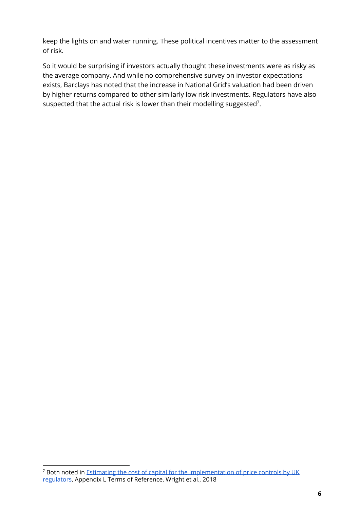keep the lights on and water running. These political incentives matter to the assessment of risk.

So it would be surprising if investors actually thought these investments were as risky as the average company. And while no comprehensive survey on investor expectations exists, Barclays has noted that the increase in National Grid's valuation had been driven by higher returns compared to other similarly low risk investments. Regulators have also suspected that the actual risk is lower than their modelling suggested<sup>7</sup>.

<sup>&</sup>lt;sup>7</sup> Both noted in Estimating the cost of capital for the [implementation](http://www.ukrn.org.uk/news/estimating-the-cost-of-capital-for-implementation-of-price-controls-by-uk-regulators/) of price controls by UK [regulators,](http://www.ukrn.org.uk/news/estimating-the-cost-of-capital-for-implementation-of-price-controls-by-uk-regulators/) Appendix L Terms of Reference, Wright et al., 2018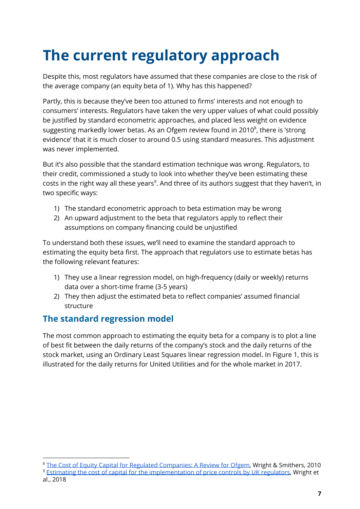# **The current regulatory approach**

Despite this, most regulators have assumed that these companies are close to the risk of the average company (an equity beta of 1). Why has this happened?

Partly, this is because they've been too attuned to firms' interests and not enough to consumers' interests. Regulators have taken the very upper values of what could possibly be justified by standard econometric approaches, and placed less weight on evidence suggesting markedly lower betas. As an Ofgem review found in 2010 $^{\circ}$ , there is 'strong evidence' that it is much closer to around 0.5 using standard measures. This adjustment was never implemented.

But it's also possible that the standard estimation technique was wrong. Regulators, to their credit, commissioned a study to look into whether they've been estimating these costs in the right way all these years<sup>9</sup>. And three of its authors suggest that they haven't, in two specific ways:

- 1) The standard econometric approach to beta estimation may be wrong
- 2) An upward adjustment to the beta that regulators apply to reflect their assumptions on company financing could be unjustified

To understand both these issues, we'll need to examine the standard approach to estimating the equity beta first. The approach that regulators use to estimate betas has the following relevant features:

- 1) They use a linear regression model, on high-frequency (daily or weekly) returns data over a short-time frame (3-5 years)
- 2) They then adjust the estimated beta to reflect companies' assumed financial structure

#### **The standard regression model**

The most common approach to estimating the equity beta for a company is to plot a line of best fit between the daily returns of the company's stock and the daily returns of the stock market, using an Ordinary Least Squares linear regression model. In Figure 1, this is illustrated for the daily returns for United Utilities and for the whole market in 2017.

<sup>&</sup>lt;sup>8</sup> The Cost of Equity Capital for Regulated [Companies:](https://www.ofgem.gov.uk/ofgem-publications/86100/wrightsmithersequitymarketreturnpdf) A Review for Ofgem, Wright & Smithers, 2010

<sup>9</sup> Estimating the cost of capital for the [implementation](http://www.ukrn.org.uk/news/estimating-the-cost-of-capital-for-implementation-of-price-controls-by-uk-regulators/) of price controls by UK regulators, Wright et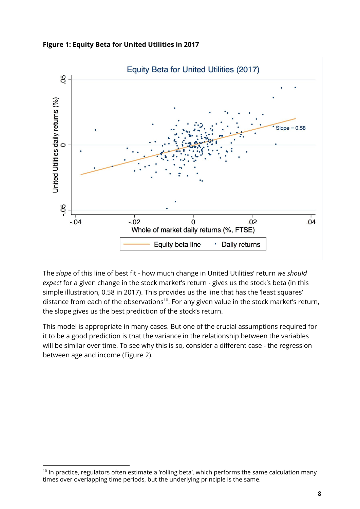



The *slope* of this line of best fit - how much change in United Utilities' return *we should expect* for a given change in the stock market's return - gives us the stock's beta (in this simple illustration, 0.58 in 2017). This provides us the line that has the 'least squares' distance from each of the observations<sup>10</sup>. For any given value in the stock market's return, the slope gives us the best prediction of the stock's return.

This model is appropriate in many cases. But one of the crucial assumptions required for it to be a good prediction is that the variance in the relationship between the variables will be similar over time. To see why this is so, consider a different case - the regression between age and income (Figure 2).

<sup>&</sup>lt;sup>10</sup> In practice, regulators often estimate a 'rolling beta', which performs the same calculation many times over overlapping time periods, but the underlying principle is the same.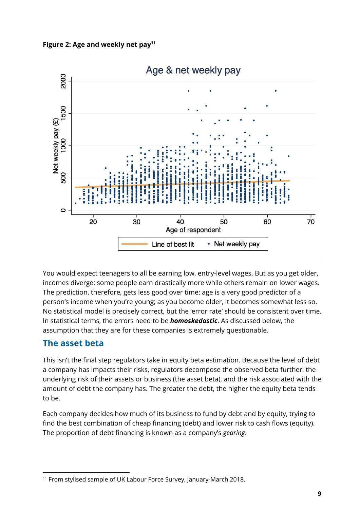



You would expect teenagers to all be earning low, entry-level wages. But as you get older, incomes diverge: some people earn drastically more while others remain on lower wages. The prediction, therefore, gets less good over time: age is a very good predictor of a person's income when you're young; as you become older, it becomes somewhat less so. No statistical model is precisely correct, but the 'error rate' should be consistent over time. In statistical terms, the errors need to be *homoskedastic*. As discussed below, the assumption that they are for these companies is extremely questionable.

#### **The asset beta**

This isn't the final step regulators take in equity beta estimation. Because the level of debt a company has impacts their risks, regulators decompose the observed beta further: the underlying risk of their assets or business (the asset beta), and the risk associated with the amount of debt the company has. The greater the debt, the higher the equity beta tends to be.

Each company decides how much of its business to fund by debt and by equity, trying to find the best combination of cheap financing (debt) and lower risk to cash flows (equity). The proportion of debt financing is known as a company's *gearing*.

<sup>11</sup> From stylised sample of UK Labour Force Survey, January-March 2018.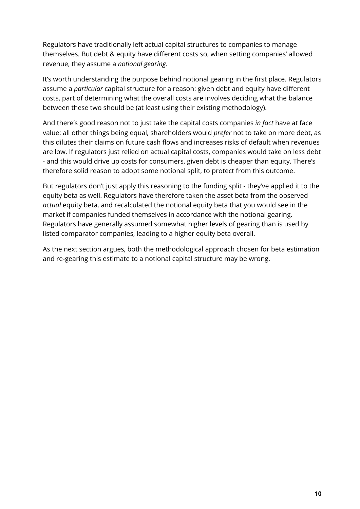Regulators have traditionally left actual capital structures to companies to manage themselves. But debt & equity have different costs so, when setting companies' allowed revenue, they assume a *notional gearing.*

It's worth understanding the purpose behind notional gearing in the first place. Regulators assume a *particular* capital structure for a reason: given debt and equity have different costs, part of determining what the overall costs are involves deciding what the balance between these two should be (at least using their existing methodology).

And there's good reason not to just take the capital costs companies *in fact* have at face value: all other things being equal, shareholders would *prefer* not to take on more debt, as this dilutes their claims on future cash flows and increases risks of default when revenues are low. If regulators just relied on actual capital costs, companies would take on less debt - and this would drive up costs for consumers, given debt is cheaper than equity. There's therefore solid reason to adopt some notional split, to protect from this outcome.

But regulators don't just apply this reasoning to the funding split - they've applied it to the equity beta as well. Regulators have therefore taken the asset beta from the observed *actual* equity beta, and recalculated the notional equity beta that you would see in the market if companies funded themselves in accordance with the notional gearing. Regulators have generally assumed somewhat higher levels of gearing than is used by listed comparator companies, leading to a higher equity beta overall.

As the next section argues, both the methodological approach chosen for beta estimation and re-gearing this estimate to a notional capital structure may be wrong.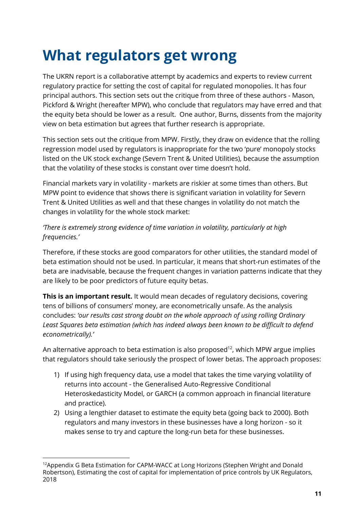### **What regulators get wrong**

The UKRN report is a collaborative attempt by academics and experts to review current regulatory practice for setting the cost of capital for regulated monopolies. It has four principal authors. This section sets out the critique from three of these authors - Mason, Pickford & Wright (hereafter MPW), who conclude that regulators may have erred and that the equity beta should be lower as a result. One author, Burns, dissents from the majority view on beta estimation but agrees that further research is appropriate.

This section sets out the critique from MPW. Firstly, they draw on evidence that the rolling regression model used by regulators is inappropriate for the two 'pure' monopoly stocks listed on the UK stock exchange (Severn Trent & United Utilities), because the assumption that the volatility of these stocks is constant over time doesn't hold.

Financial markets vary in volatility - markets are riskier at some times than others. But MPW point to evidence that shows there is significant variation in volatility for Severn Trent & United Utilities as well and that these changes in volatility do not match the changes in volatility for the whole stock market:

#### *'There is extremely strong evidence of time variation in volatility, particularly at high frequencies.'*

Therefore, if these stocks are good comparators for other utilities, the standard model of beta estimation should not be used. In particular, it means that short-run estimates of the beta are inadvisable, because the frequent changes in variation patterns indicate that they are likely to be poor predictors of future equity betas.

**This is an important result.** It would mean decades of regulatory decisions, covering tens of billions of consumers' money, are econometrically unsafe. As the analysis concludes: *'our results cast strong doubt on the whole approach of using rolling Ordinary Least Squares beta estimation (which has indeed always been known to be difficult to defend econometrically).'*

An alternative approach to beta estimation is also proposed<sup>12</sup>, which MPW argue implies that regulators should take seriously the prospect of lower betas. The approach proposes:

- 1) If using high frequency data, use a model that takes the time varying volatility of returns into account - the Generalised Auto-Regressive Conditional Heteroskedasticity Model, or GARCH (a common approach in financial literature and practice).
- 2) Using a lengthier dataset to estimate the equity beta (going back to 2000). Both regulators and many investors in these businesses have a long horizon - so it makes sense to try and capture the long-run beta for these businesses.

<sup>&</sup>lt;sup>12</sup>Appendix G Beta Estimation for CAPM-WACC at Long Horizons (Stephen Wright and Donald Robertson), Estimating the cost of capital for implementation of price controls by UK Regulators, 2018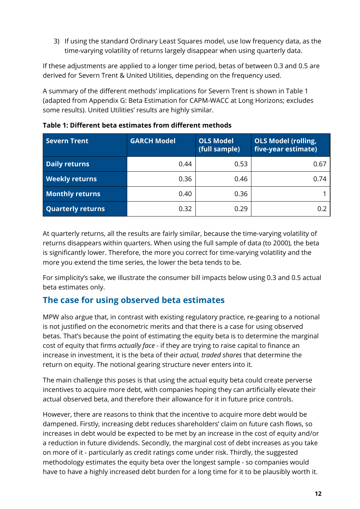3) If using the standard Ordinary Least Squares model, use low frequency data, as the time-varying volatility of returns largely disappear when using quarterly data.

If these adjustments are applied to a longer time period, betas of between 0.3 and 0.5 are derived for Severn Trent & United Utilities, depending on the frequency used.

A summary of the different methods' implications for Severn Trent is shown in Table 1 (adapted from Appendix G: Beta Estimation for CAPM-WACC at Long Horizons; excludes some results). United Utilities' results are highly similar.

| Severn Trent             | <b>GARCH Model</b> | <b>OLS Model</b><br>(full sample) | <b>OLS Model (rolling,</b><br>five-year estimate) |
|--------------------------|--------------------|-----------------------------------|---------------------------------------------------|
| <b>Daily returns</b>     | 0.44               | 0.53                              | 0.67                                              |
| <b>Weekly returns</b>    | 0.36               | 0.46                              | 0.74                                              |
| <b>Monthly returns</b>   | 0.40               | 0.36                              |                                                   |
| <b>Quarterly returns</b> | 0.32               | 0.29                              | 0.2                                               |

**Table 1: Different beta estimates from different methods**

At quarterly returns, all the results are fairly similar, because the time-varying volatility of returns disappears within quarters. When using the full sample of data (to 2000), the beta is significantly lower. Therefore, the more you correct for time-varying volatility and the more you extend the time series, the lower the beta tends to be.

For simplicity's sake, we illustrate the consumer bill impacts below using 0.3 and 0.5 actual beta estimates only.

#### **The case for using observed beta estimates**

MPW also argue that, in contrast with existing regulatory practice, re-gearing to a notional is not justified on the econometric merits and that there is a case for using observed betas. That's because the point of estimating the equity beta is to determine the marginal cost of equity that firms *actually face* - if they are trying to raise capital to finance an increase in investment, it is the beta of their *actual, traded shares* that determine the return on equity. The notional gearing structure never enters into it.

The main challenge this poses is that using the actual equity beta could create perverse incentives to acquire more debt, with companies hoping they can artificially elevate their actual observed beta, and therefore their allowance for it in future price controls.

However, there are reasons to think that the incentive to acquire more debt would be dampened. Firstly, increasing debt reduces shareholders' claim on future cash flows, so increases in debt would be expected to be met by an increase in the cost of equity and/or a reduction in future dividends. Secondly, the marginal cost of debt increases as you take on more of it - particularly as credit ratings come under risk. Thirdly, the suggested methodology estimates the equity beta over the longest sample - so companies would have to have a highly increased debt burden for a long time for it to be plausibly worth it.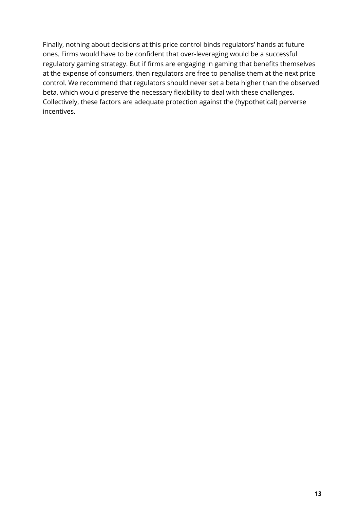Finally, nothing about decisions at this price control binds regulators' hands at future ones. Firms would have to be confident that over-leveraging would be a successful regulatory gaming strategy. But if firms are engaging in gaming that benefits themselves at the expense of consumers, then regulators are free to penalise them at the next price control. We recommend that regulators should never set a beta higher than the observed beta, which would preserve the necessary flexibility to deal with these challenges. Collectively, these factors are adequate protection against the (hypothetical) perverse incentives.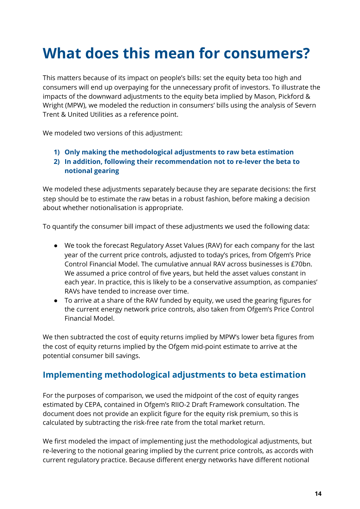# **What does this mean for consumers?**

This matters because of its impact on people's bills: set the equity beta too high and consumers will end up overpaying for the unnecessary profit of investors. To illustrate the impacts of the downward adjustments to the equity beta implied by Mason, Pickford & Wright (MPW), we modeled the reduction in consumers' bills using the analysis of Severn Trent & United Utilities as a reference point.

We modeled two versions of this adjustment:

- **1) Only making the methodological adjustments to raw beta estimation**
- **2) In addition, following their recommendation not to re-lever the beta to notional gearing**

We modeled these adjustments separately because they are separate decisions: the first step should be to estimate the raw betas in a robust fashion, before making a decision about whether notionalisation is appropriate.

To quantify the consumer bill impact of these adjustments we used the following data:

- We took the forecast Regulatory Asset Values (RAV) for each company for the last year of the current price controls, adjusted to today's prices, from Ofgem's Price Control Financial Model. The cumulative annual RAV across businesses is £70bn. We assumed a price control of five years, but held the asset values constant in each year. In practice, this is likely to be a conservative assumption, as companies' RAVs have tended to increase over time.
- To arrive at a share of the RAV funded by equity, we used the gearing figures for the current energy network price controls, also taken from Ofgem's Price Control Financial Model.

We then subtracted the cost of equity returns implied by MPW's lower beta figures from the cost of equity returns implied by the Ofgem mid-point estimate to arrive at the potential consumer bill savings.

#### **Implementing methodological adjustments to beta estimation**

For the purposes of comparison, we used the midpoint of the cost of equity ranges estimated by CEPA, contained in Ofgem's RIIO-2 Draft Framework consultation. The document does not provide an explicit figure for the equity risk premium, so this is calculated by subtracting the risk-free rate from the total market return.

We first modeled the impact of implementing just the methodological adjustments, but re-levering to the notional gearing implied by the current price controls, as accords with current regulatory practice. Because different energy networks have different notional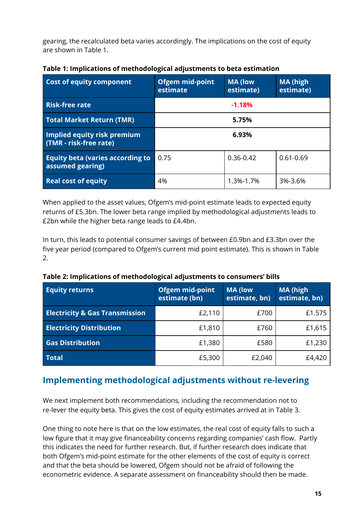gearing, the recalculated beta varies accordingly. The implications on the cost of equity are shown in Table 1.

| <b>Cost of equity component</b>                             | <b>Ofgem mid-point</b><br>estimate | <b>MA (low</b><br>estimate) | <b>MA (high</b><br>estimate) |
|-------------------------------------------------------------|------------------------------------|-----------------------------|------------------------------|
| <b>Risk-free rate</b>                                       | $-1.18%$                           |                             |                              |
| <b>Total Market Return (TMR)</b>                            | 5.75%                              |                             |                              |
| Implied equity risk premium<br>(TMR - risk-free rate)       | 6.93%                              |                             |                              |
| <b>Equity beta (varies according to</b><br>assumed gearing) | 0.75                               | $0.36 - 0.42$               | $0.61 - 0.69$                |
| <b>Real cost of equity</b>                                  | 4%                                 | 1.3%-1.7%                   | 3%-3.6%                      |

**Table 1: Implications of methodological adjustments to beta estimation**

When applied to the asset values, Ofgem's mid-point estimate leads to expected equity returns of £5.3bn. The lower beta range implied by methodological adjustments leads to £2bn while the higher beta range leads to £4.4bn.

In turn, this leads to potential consumer savings of between £0.9bn and £3.3bn over the five year period (compared to Ofgem's current mid point estimate). This is shown in Table 2.

| Table 2: Implications of methodological adjustments to consumers' bills |  |
|-------------------------------------------------------------------------|--|
|-------------------------------------------------------------------------|--|

| <b>Equity returns</b>                     | <b>Ofgem mid-point</b><br>estimate (bn) | <b>MA (low</b><br>estimate, bn) | <b>MA (high</b><br>estimate, bn) |
|-------------------------------------------|-----------------------------------------|---------------------------------|----------------------------------|
| <b>Electricity &amp; Gas Transmission</b> | £2,110                                  | £700                            | £1.575                           |
| <b>Electricity Distribution</b>           | £1,810                                  | £760                            | £1,615                           |
| <b>Gas Distribution</b>                   | £1,380                                  | £580                            | £1,230                           |
| <b>Total</b>                              | £5,300                                  | £2,040                          | £4,420                           |

#### **Implementing methodological adjustments without re-levering**

We next implement both recommendations, including the recommendation not to re-lever the equity beta. This gives the cost of equity estimates arrived at in Table 3.

One thing to note here is that on the low estimates, the real cost of equity falls to such a low figure that it may give financeability concerns regarding companies' cash flow. Partly this indicates the need for further research. But, if further research does indicate that both Ofgem's mid-point estimate for the other elements of the cost of equity is correct and that the beta should be lowered, Ofgem should not be afraid of following the econometric evidence. A separate assessment on financeability should then be made.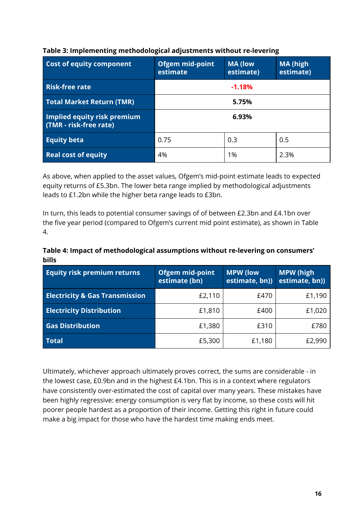| <b>Cost of equity component</b>                              | Ofgem mid-point<br>estimate | <b>MA (low</b><br>estimate) | <b>MA (high</b><br>estimate) |
|--------------------------------------------------------------|-----------------------------|-----------------------------|------------------------------|
| <b>Risk-free rate</b>                                        | $-1.18%$                    |                             |                              |
| <b>Total Market Return (TMR)</b>                             | 5.75%                       |                             |                              |
| <b>Implied equity risk premium</b><br>(TMR - risk-free rate) | 6.93%                       |                             |                              |
| <b>Equity beta</b>                                           | 0.75                        | 0.3                         | 0.5                          |
| <b>Real cost of equity</b>                                   | 4%                          | 1%                          | 2.3%                         |

#### **Table 3: Implementing methodological adjustments without re-levering**

As above, when applied to the asset values, Ofgem's mid-point estimate leads to expected equity returns of £5.3bn. The lower beta range implied by methodological adjustments leads to £1.2bn while the higher beta range leads to £3bn.

In turn, this leads to potential consumer savings of of between £2.3bn and £4.1bn over the five year period (compared to Ofgem's current mid point estimate), as shown in Table 4.

#### **Table 4: Impact of methodological assumptions without re-levering on consumers' bills**

| <b>Equity risk premium returns</b>        | <b>Ofgem mid-point</b><br>estimate (bn) | <b>MPW (low</b><br>estimate, bn)) | <b>MPW</b> (high<br>estimate, bn)) |
|-------------------------------------------|-----------------------------------------|-----------------------------------|------------------------------------|
| <b>Electricity &amp; Gas Transmission</b> | £2,110                                  | £470                              | £1,190                             |
| <b>Electricity Distribution</b>           | £1,810                                  | £400                              | £1,020                             |
| <b>Gas Distribution</b>                   | £1,380                                  | £310                              | £780                               |
| <b>Total</b>                              | £5,300                                  | £1,180                            | £2,990                             |

Ultimately, whichever approach ultimately proves correct, the sums are considerable - in the lowest case, £0.9bn and in the highest £4.1bn. This is in a context where regulators have consistently over-estimated the cost of capital over many years. These mistakes have been highly regressive: energy consumption is very flat by income, so these costs will hit poorer people hardest as a proportion of their income. Getting this right in future could make a big impact for those who have the hardest time making ends meet.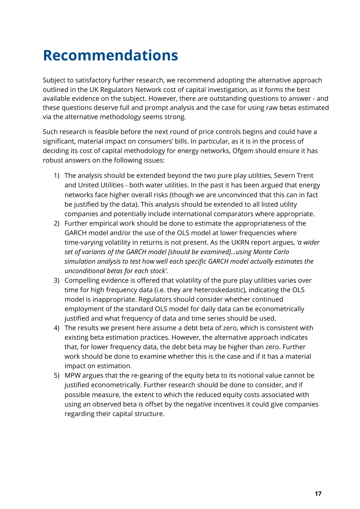### **Recommendations**

Subject to satisfactory further research, we recommend adopting the alternative approach outlined in the UK Regulators Network cost of capital investigation, as it forms the best available evidence on the subject. However, there are outstanding questions to answer - and these questions deserve full and prompt analysis and the case for using raw betas estimated via the alternative methodology seems strong.

Such research is feasible before the next round of price controls begins and could have a significant, material impact on consumers' bills. In particular, as it is in the process of deciding its cost of capital methodology for energy networks, Ofgem should ensure it has robust answers on the following issues:

- 1) The analysis should be extended beyond the two pure play utilities, Severn Trent and United Utilities - both water utilities. In the past it has been argued that energy networks face higher overall risks (though we are unconvinced that this can in fact be justified by the data). This analysis should be extended to all listed utility companies and potentially include international comparators where appropriate.
- 2) Further empirical work should be done to estimate the appropriateness of the GARCH model and/or the use of the OLS model at lower frequencies where time-varying volatility in returns is not present. As the UKRN report argues, *'a wider set of variants of the GARCH model [should be examined]...using Monte Carlo simulation analysis to test how well each specific GARCH model actually estimates the unconditional betas for each stock'.*
- 3) Compelling evidence is offered that volatility of the pure play utilities varies over time for high frequency data (i.e. they are heteroskedastic), indicating the OLS model is inappropriate. Regulators should consider whether continued employment of the standard OLS model for daily data can be econometrically justified and what frequency of data and time series should be used.
- 4) The results we present here assume a debt beta of zero, which is consistent with existing beta estimation practices. However, the alternative approach indicates that, for lower frequency data, the debt beta may be higher than zero. Further work should be done to examine whether this is the case and if it has a material impact on estimation.
- 5) MPW argues that the re-gearing of the equity beta to its notional value cannot be justified econometrically. Further research should be done to consider, and if possible measure, the extent to which the reduced equity costs associated with using an observed beta is offset by the negative incentives it could give companies regarding their capital structure.